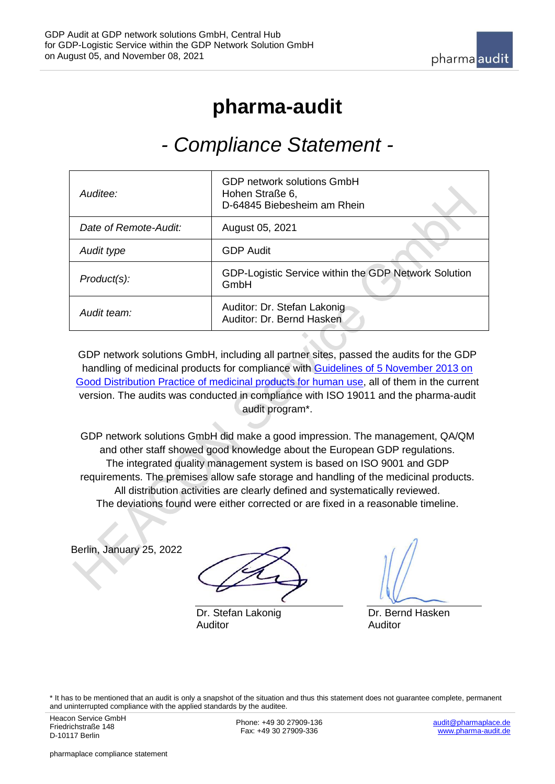## **pharma-audit**

## <span id="page-0-0"></span>*- Compliance Statement -*

| Auditee:              | <b>GDP network solutions GmbH</b><br>Hohen Straße 6,<br>D-64845 Biebesheim am Rhein |
|-----------------------|-------------------------------------------------------------------------------------|
| Date of Remote-Audit: | August 05, 2021                                                                     |
| Audit type            | <b>GDP Audit</b>                                                                    |
| Product(s):           | GDP-Logistic Service within the GDP Network Solution<br>GmbH                        |
| Audit team:           | Auditor: Dr. Stefan Lakonig<br>Auditor: Dr. Bernd Hasken                            |

GDP network solutions GmbH, including all partner sites, passed the audits for the GDP handling of medicinal products for compliance with [Guidelines of 5 November 2013 on](https://eur-lex.europa.eu/LexUriServ/LexUriServ.do?uri=OJ:C:2013:343:0001:0014:EN:PDF)  [Good Distribution Practice of medicinal products for human use,](https://eur-lex.europa.eu/LexUriServ/LexUriServ.do?uri=OJ:C:2013:343:0001:0014:EN:PDF) all of them in the current version. The audits was conducted in compliance with ISO 19011 and the pharma-audit audit program\*.

GDP network solutions GmbH did make a good impression. The management, QA/QM and other staff showed good knowledge about the European GDP regulations. The integrated quality management system is based on ISO 9001 and GDP requirements. The premises allow safe storage and handling of the medicinal products. All distribution activities are clearly defined and systematically reviewed. The deviations found were either corrected or are fixed in a reasonable timeline.

Berlin, January 25, 2022

Dr. Stefan Lakonig Auditor

Dr. Bernd Hasken Auditor

\* It has to be mentioned that an audit is only a snapshot of the situation and thus this statement does not guarantee complete, permanent and uninterrupted compliance with the applied standards by the auditee.

Phone: +49 30 27909-136 Fax: +49 30 27909-336